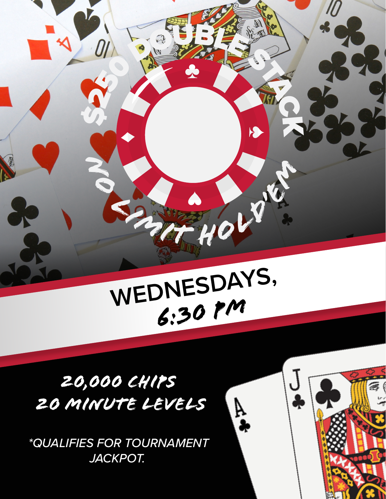

## **WEDNESDAYS,** *6:30 PM*

## *20,000 CHIPS 20 MINUTE LEVELS*

*\*QUALIFIES FOR TOURNAMENT JACKPOT.*